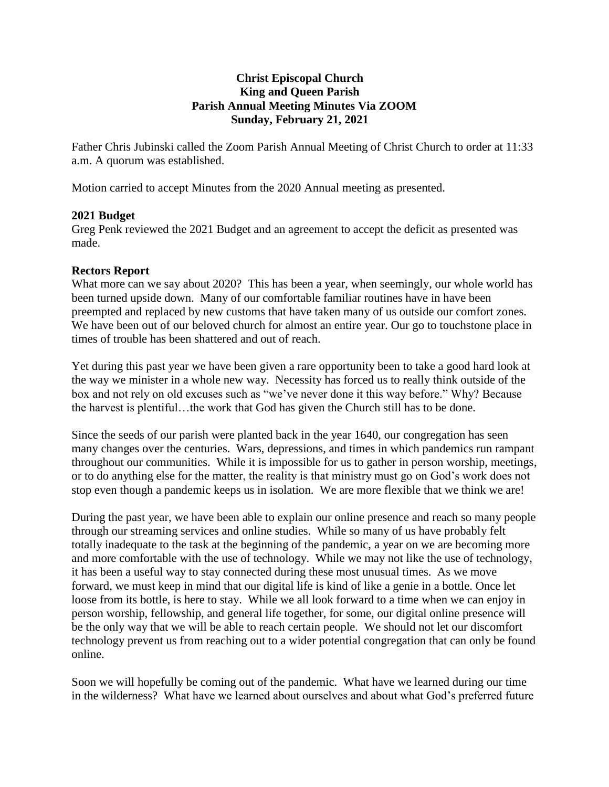## **Christ Episcopal Church King and Queen Parish Parish Annual Meeting Minutes Via ZOOM Sunday, February 21, 2021**

Father Chris Jubinski called the Zoom Parish Annual Meeting of Christ Church to order at 11:33 a.m. A quorum was established.

Motion carried to accept Minutes from the 2020 Annual meeting as presented.

#### **2021 Budget**

Greg Penk reviewed the 2021 Budget and an agreement to accept the deficit as presented was made.

#### **Rectors Report**

What more can we say about 2020? This has been a year, when seemingly, our whole world has been turned upside down. Many of our comfortable familiar routines have in have been preempted and replaced by new customs that have taken many of us outside our comfort zones. We have been out of our beloved church for almost an entire year. Our go to touchstone place in times of trouble has been shattered and out of reach.

Yet during this past year we have been given a rare opportunity been to take a good hard look at the way we minister in a whole new way. Necessity has forced us to really think outside of the box and not rely on old excuses such as "we've never done it this way before." Why? Because the harvest is plentiful…the work that God has given the Church still has to be done.

Since the seeds of our parish were planted back in the year 1640, our congregation has seen many changes over the centuries. Wars, depressions, and times in which pandemics run rampant throughout our communities. While it is impossible for us to gather in person worship, meetings, or to do anything else for the matter, the reality is that ministry must go on God's work does not stop even though a pandemic keeps us in isolation. We are more flexible that we think we are!

During the past year, we have been able to explain our online presence and reach so many people through our streaming services and online studies. While so many of us have probably felt totally inadequate to the task at the beginning of the pandemic, a year on we are becoming more and more comfortable with the use of technology. While we may not like the use of technology, it has been a useful way to stay connected during these most unusual times. As we move forward, we must keep in mind that our digital life is kind of like a genie in a bottle. Once let loose from its bottle, is here to stay. While we all look forward to a time when we can enjoy in person worship, fellowship, and general life together, for some, our digital online presence will be the only way that we will be able to reach certain people. We should not let our discomfort technology prevent us from reaching out to a wider potential congregation that can only be found online.

Soon we will hopefully be coming out of the pandemic. What have we learned during our time in the wilderness? What have we learned about ourselves and about what God's preferred future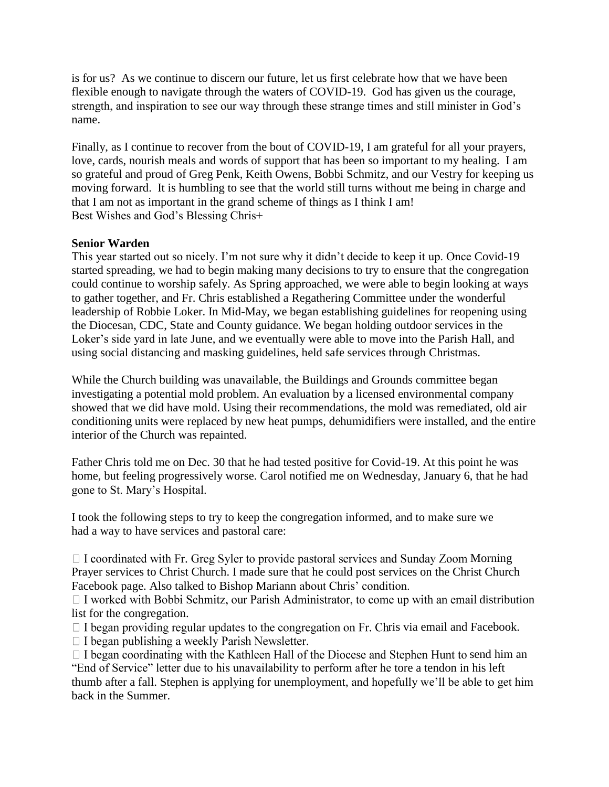is for us? As we continue to discern our future, let us first celebrate how that we have been flexible enough to navigate through the waters of COVID-19. God has given us the courage, strength, and inspiration to see our way through these strange times and still minister in God's name.

Finally, as I continue to recover from the bout of COVID-19, I am grateful for all your prayers, love, cards, nourish meals and words of support that has been so important to my healing. I am so grateful and proud of Greg Penk, Keith Owens, Bobbi Schmitz, and our Vestry for keeping us moving forward. It is humbling to see that the world still turns without me being in charge and that I am not as important in the grand scheme of things as I think I am! Best Wishes and God's Blessing Chris+

## **Senior Warden**

This year started out so nicely. I'm not sure why it didn't decide to keep it up. Once Covid-19 started spreading, we had to begin making many decisions to try to ensure that the congregation could continue to worship safely. As Spring approached, we were able to begin looking at ways to gather together, and Fr. Chris established a Regathering Committee under the wonderful leadership of Robbie Loker. In Mid-May, we began establishing guidelines for reopening using the Diocesan, CDC, State and County guidance. We began holding outdoor services in the Loker's side yard in late June, and we eventually were able to move into the Parish Hall, and using social distancing and masking guidelines, held safe services through Christmas.

While the Church building was unavailable, the Buildings and Grounds committee began investigating a potential mold problem. An evaluation by a licensed environmental company showed that we did have mold. Using their recommendations, the mold was remediated, old air conditioning units were replaced by new heat pumps, dehumidifiers were installed, and the entire interior of the Church was repainted.

Father Chris told me on Dec. 30 that he had tested positive for Covid-19. At this point he was home, but feeling progressively worse. Carol notified me on Wednesday, January 6, that he had gone to St. Mary's Hospital.

I took the following steps to try to keep the congregation informed, and to make sure we had a way to have services and pastoral care:

 $\Box$  I coordinated with Fr. Greg Syler to provide pastoral services and Sunday Zoom Morning Prayer services to Christ Church. I made sure that he could post services on the Christ Church Facebook page. Also talked to Bishop Mariann about Chris' condition.

 $\Box$  I worked with Bobbi Schmitz, our Parish Administrator, to come up with an email distribution list for the congregation.

 $\Box$  I began providing regular updates to the congregation on Fr. Chris via email and Facebook.

 $\Box$  I began publishing a weekly Parish Newsletter.

 $\Box$  I began coordinating with the Kathleen Hall of the Diocese and Stephen Hunt to send him an "End of Service" letter due to his unavailability to perform after he tore a tendon in his left thumb after a fall. Stephen is applying for unemployment, and hopefully we'll be able to get him back in the Summer.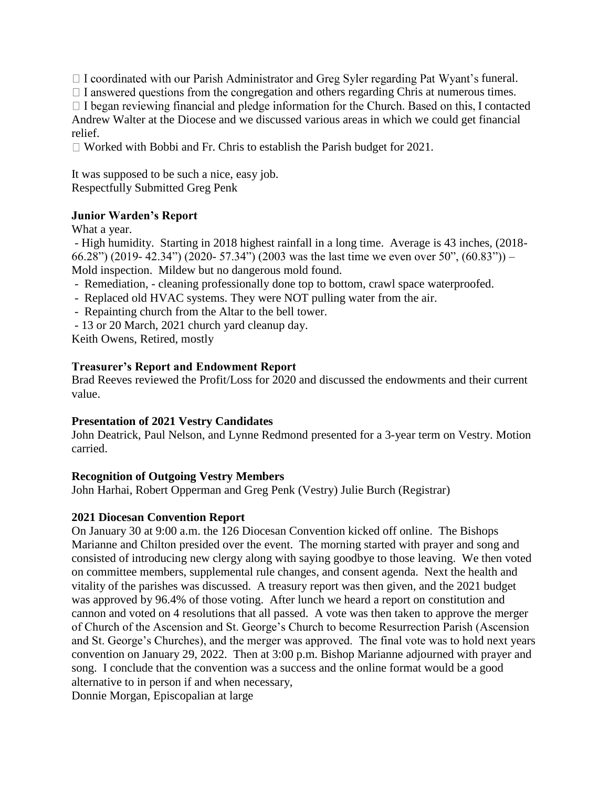$\Box$  I coordinated with our Parish Administrator and Greg Syler regarding Pat Wyant's funeral.

 $\Box$  I answered questions from the congregation and others regarding Chris at numerous times.

 $\Box$  I began reviewing financial and pledge information for the Church. Based on this, I contacted Andrew Walter at the Diocese and we discussed various areas in which we could get financial relief.

 $\Box$  Worked with Bobbi and Fr. Chris to establish the Parish budget for 2021.

It was supposed to be such a nice, easy job. Respectfully Submitted Greg Penk

# **Junior Warden's Report**

What a year.

- High humidity. Starting in 2018 highest rainfall in a long time. Average is 43 inches, (2018- 66.28") (2019- 42.34") (2020- 57.34") (2003 was the last time we even over 50", (60.83")) – Mold inspection. Mildew but no dangerous mold found.

- Remediation, cleaning professionally done top to bottom, crawl space waterproofed.
- Replaced old HVAC systems. They were NOT pulling water from the air.
- Repainting church from the Altar to the bell tower.
- 13 or 20 March, 2021 church yard cleanup day.

Keith Owens, Retired, mostly

#### **Treasurer's Report and Endowment Report**

Brad Reeves reviewed the Profit/Loss for 2020 and discussed the endowments and their current value.

#### **Presentation of 2021 Vestry Candidates**

John Deatrick, Paul Nelson, and Lynne Redmond presented for a 3-year term on Vestry. Motion carried.

#### **Recognition of Outgoing Vestry Members**

John Harhai, Robert Opperman and Greg Penk (Vestry) Julie Burch (Registrar)

# **2021 Diocesan Convention Report**

On January 30 at 9:00 a.m. the 126 Diocesan Convention kicked off online. The Bishops Marianne and Chilton presided over the event. The morning started with prayer and song and consisted of introducing new clergy along with saying goodbye to those leaving. We then voted on committee members, supplemental rule changes, and consent agenda. Next the health and vitality of the parishes was discussed. A treasury report was then given, and the 2021 budget was approved by 96.4% of those voting. After lunch we heard a report on constitution and cannon and voted on 4 resolutions that all passed. A vote was then taken to approve the merger of Church of the Ascension and St. George's Church to become Resurrection Parish (Ascension and St. George's Churches), and the merger was approved. The final vote was to hold next years convention on January 29, 2022. Then at 3:00 p.m. Bishop Marianne adjourned with prayer and song. I conclude that the convention was a success and the online format would be a good alternative to in person if and when necessary,

Donnie Morgan, Episcopalian at large